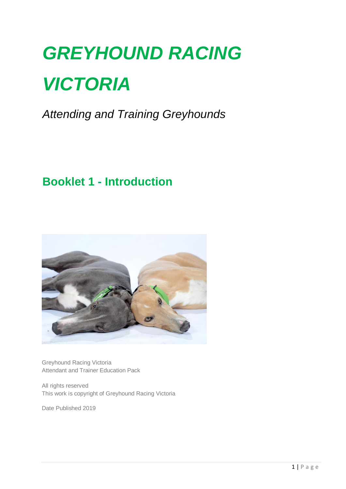# *GREYHOUND RACING VICTORIA*

*Attending and Training Greyhounds*

## **Booklet 1 - Introduction**



Greyhound Racing Victoria Attendant and Trainer Education Pack

All rights reserved This work is copyright of Greyhound Racing Victoria

Date Published 2019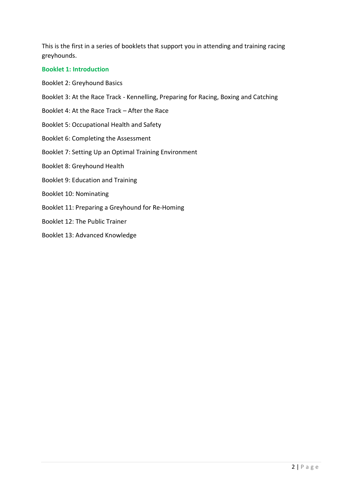This is the first in a series of booklets that support you in attending and training racing greyhounds.

#### **Booklet 1: Introduction**

- Booklet 2: Greyhound Basics
- Booklet 3: At the Race Track Kennelling, Preparing for Racing, Boxing and Catching
- Booklet 4: At the Race Track After the Race
- Booklet 5: Occupational Health and Safety
- Booklet 6: Completing the Assessment
- Booklet 7: Setting Up an Optimal Training Environment
- Booklet 8: Greyhound Health
- Booklet 9: Education and Training
- Booklet 10: Nominating
- Booklet 11: Preparing a Greyhound for Re-Homing
- Booklet 12: The Public Trainer
- Booklet 13: Advanced Knowledge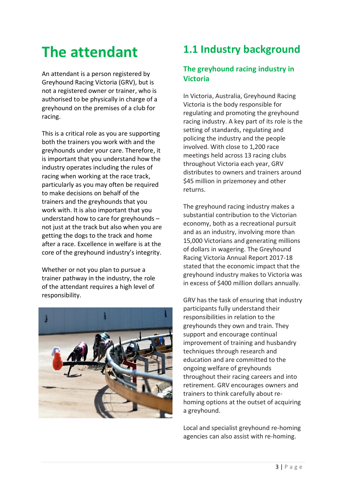## **The attendant**

An attendant is a person registered by Greyhound Racing Victoria (GRV), but is not a registered owner or trainer, who is authorised to be physically in charge of a greyhound on the premises of a club for racing.

This is a critical role as you are supporting both the trainers you work with and the greyhounds under your care. Therefore, it is important that you understand how the industry operates including the rules of racing when working at the race track, particularly as you may often be required to make decisions on behalf of the trainers and the greyhounds that you work with. It is also important that you understand how to care for greyhounds – not just at the track but also when you are getting the dogs to the track and home after a race. Excellence in welfare is at the core of the greyhound industry's integrity.

Whether or not you plan to pursue a trainer pathway in the industry, the role of the attendant requires a high level of responsibility.



## **1.1 Industry background**

#### **The greyhound racing industry in Victoria**

In Victoria, Australia, Greyhound Racing Victoria is the body responsible for regulating and promoting the greyhound racing industry. A key part of its role is the setting of standards, regulating and policing the industry and the people involved. With close to 1,200 race meetings held across 13 racing clubs throughout Victoria each year, GRV distributes to owners and trainers around \$45 million in prizemoney and other returns.

The greyhound racing industry makes a substantial contribution to the Victorian economy, both as a recreational pursuit and as an industry, involving more than 15,000 Victorians and generating millions of dollars in wagering. The Greyhound Racing Victoria Annual Report 2017-18 stated that the economic impact that the greyhound industry makes to Victoria was in excess of \$400 million dollars annually.

GRV has the task of ensuring that industry participants fully understand their responsibilities in relation to the greyhounds they own and train. They support and encourage continual improvement of training and husbandry techniques through research and education and are committed to the ongoing welfare of greyhounds throughout their racing careers and into retirement. GRV encourages owners and trainers to think carefully about rehoming options at the outset of acquiring a greyhound.

Local and specialist greyhound re-homing agencies can also assist with re-homing.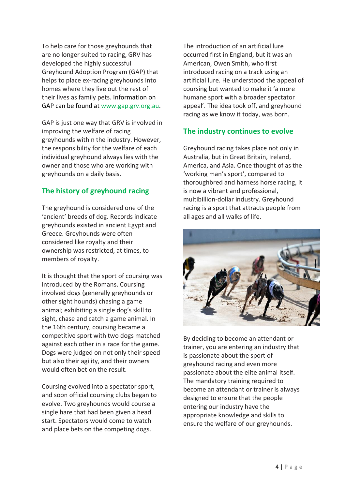To help care for those greyhounds that are no longer suited to racing, GRV has developed the highly successful Greyhound Adoption Program (GAP) that helps to place ex-racing greyhounds into homes where they live out the rest of their lives as family pets. Information on GAP can be found at [www.gap.grv.org.au.](http://www.gap.grv.org.au/)

GAP is just one way that GRV is involved in improving the welfare of racing greyhounds within the industry. However, the responsibility for the welfare of each individual greyhound always lies with the owner and those who are working with greyhounds on a daily basis.

#### **The history of greyhound racing**

The greyhound is considered one of the 'ancient' breeds of dog. Records indicate greyhounds existed in ancient Egypt and Greece. Greyhounds were often considered like royalty and their ownership was restricted, at times, to members of royalty.

It is thought that the sport of coursing was introduced by the Romans. Coursing involved dogs (generally greyhounds or other sight hounds) chasing a game animal; exhibiting a single dog's skill to sight, chase and catch a game animal. In the 16th century, coursing became a competitive sport with two dogs matched against each other in a race for the game. Dogs were judged on not only their speed but also their agility, and their owners would often bet on the result.

Coursing evolved into a spectator sport, and soon official coursing clubs began to evolve. Two greyhounds would course a single hare that had been given a head start. Spectators would come to watch and place bets on the competing dogs.

The introduction of an artificial lure occurred first in England, but it was an American, Owen Smith, who first introduced racing on a track using an artificial lure. He understood the appeal of coursing but wanted to make it 'a more humane sport with a broader spectator appeal'. The idea took off, and greyhound racing as we know it today, was born.

#### **The industry continues to evolve**

Greyhound racing takes place not only in Australia, but in Great Britain, Ireland, America, and Asia. Once thought of as the 'working man's sport', compared to thoroughbred and harness horse racing, it is now a vibrant and professional, multibillion-dollar industry. Greyhound racing is a sport that attracts people from all ages and all walks of life.



By deciding to become an attendant or trainer, you are entering an industry that is passionate about the sport of greyhound racing and even more passionate about the elite animal itself. The mandatory training required to become an attendant or trainer is always designed to ensure that the people entering our industry have the appropriate knowledge and skills to ensure the welfare of our greyhounds.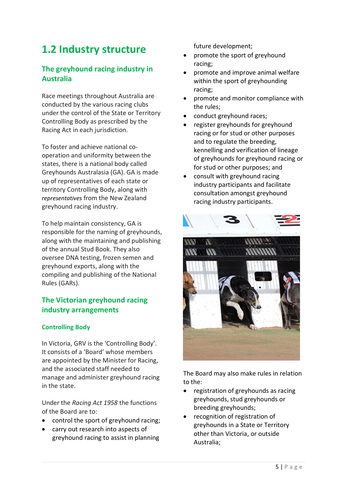### **1.2 Industry structure**

#### **The greyhound racing industry in Australia**

Race meetings throughout Australia are conducted by the various racing clubs under the control of the State or Territory Controlling Body as prescribed by the Racing Act in each jurisdiction.

To foster and achieve national cooperation and uniformity between the states, there is a national body called Greyhounds Australasia (GA). GA is made up of representatives of each state or territory Controlling Body, along with *representatives* from the New Zealand greyhound racing industry.

To help maintain consistency, GA is responsible for the naming of greyhounds, along with the maintaining and publishing of the annual Stud Book. They also oversee DNA testing, frozen semen and greyhound exports, along with the compiling and publishing of the National Rules (GARs).

#### **The Victorian greyhound racing industry arrangements**

#### **Controlling Body**

In Victoria, GRV is the 'Controlling Body'. It consists of a 'Board' whose members are appointed by the Minister for Racing, and the associated staff needed to manage and administer greyhound racing in the state.

Under the *Racing Act 1958* the functions of the Board are to:

- control the sport of greyhound racing;
- carry out research into aspects of greyhound racing to assist in planning

future development;

- promote the sport of greyhound racing;
- promote and improve animal welfare within the sport of greyhounding racing;
- promote and monitor compliance with the rules;
- conduct greyhound races;
- register greyhounds for greyhound racing or for stud or other purposes and to regulate the breeding, kennelling and verification of lineage of greyhounds for greyhound racing or for stud or other purposes; and
- consult with greyhound racing industry participants and facilitate consultation amongst greyhound racing industry participants.



The Board may also make rules in relation to the:

- registration of greyhounds as racing greyhounds, stud greyhounds or breeding greyhounds;
- recognition of registration of greyhounds in a State or Territory other than Victoria, or outside Australia;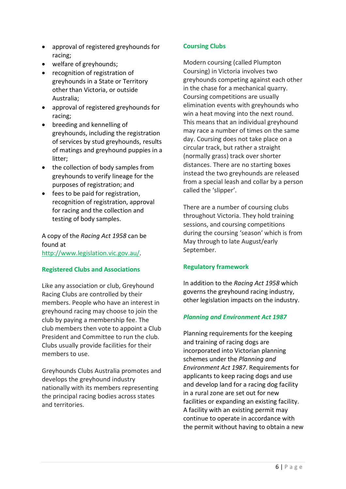- approval of registered greyhounds for racing;
- welfare of greyhounds;
- recognition of registration of greyhounds in a State or Territory other than Victoria, or outside Australia;
- approval of registered greyhounds for racing;
- breeding and kennelling of greyhounds, including the registration of services by stud greyhounds, results of matings and greyhound puppies in a litter;
- the collection of body samples from greyhounds to verify lineage for the purposes of registration; and
- fees to be paid for registration, recognition of registration, approval for racing and the collection and testing of body samples.

A copy of the *Racing Act 1958* can be found at [http://www.legislation.vic.gov.au/.](http://www.legislation.vic.gov.au/)

#### **Registered Clubs and Associations**

Like any association or club, Greyhound Racing Clubs are controlled by their members. People who have an interest in greyhound racing may choose to join the club by paying a membership fee. The club members then vote to appoint a Club President and Committee to run the club. Clubs usually provide facilities for their members to use.

Greyhounds Clubs Australia promotes and develops the greyhound industry nationally with its members representing the principal racing bodies across states and territories.

#### **Coursing Clubs**

Modern coursing (called Plumpton Coursing) in Victoria involves two greyhounds competing against each other in the chase for a mechanical quarry. Coursing competitions are usually elimination events with greyhounds who win a heat moving into the next round. This means that an individual greyhound may race a number of times on the same day. Coursing does not take place on a circular track, but rather a straight (normally grass) track over shorter distances. There are no starting boxes instead the two greyhounds are released from a special leash and collar by a person called the 'slipper'.

There are a number of coursing clubs throughout Victoria. They hold training sessions, and coursing competitions during the coursing 'season' which is from May through to late August/early September.

#### **Regulatory framework**

In addition to the *Racing Act 1958* which governs the greyhound racing industry, other legislation impacts on the industry.

#### *Planning and Environment Act 1987*

Planning requirements for the keeping and training of racing dogs are incorporated into Victorian planning schemes under the *Planning and Environment Act 1987*. Requirements for applicants to keep racing dogs and use and develop land for a racing dog facility in a rural zone are set out for new facilities or expanding an existing facility. A facility with an existing permit may continue to operate in accordance with the permit without having to obtain a new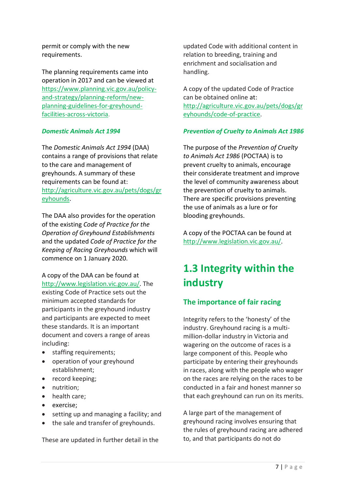permit or comply with the new requirements.

The planning requirements came into operation in 2017 and can be viewed at [https://www.planning.vic.gov.au/policy](https://www.planning.vic.gov.au/policy-and-strategy/planning-reform/new-planning-guidelines-for-greyhound-facilities-across-victoria)[and-strategy/planning-reform/new](https://www.planning.vic.gov.au/policy-and-strategy/planning-reform/new-planning-guidelines-for-greyhound-facilities-across-victoria)[planning-guidelines-for-greyhound](https://www.planning.vic.gov.au/policy-and-strategy/planning-reform/new-planning-guidelines-for-greyhound-facilities-across-victoria)[facilities-across-victoria.](https://www.planning.vic.gov.au/policy-and-strategy/planning-reform/new-planning-guidelines-for-greyhound-facilities-across-victoria)

#### *Domestic Animals Act 1994*

The *D*o*mestic Animals Act 1994* (DAA) contains a range of provisions that relate to the care and management of greyhounds. A summary of these requirements can be found at: [http://agriculture.vic.gov.au/pets/dogs/gr](http://agriculture.vic.gov.au/pets/dogs/greyhounds) [eyhounds.](http://agriculture.vic.gov.au/pets/dogs/greyhounds)

The DAA also provides for the operation of the existing *Code of Practice for the Operation of Greyhound Establishments* and the updated *Code of Practice for the Keeping of Racing Greyhounds* which will commence on 1 January 2020.

A copy of the DAA can be found at [http://www.legislation.vic.gov.au/.](http://www.legislation.vic.gov.au/) The existing Code of Practice sets out the minimum accepted standards for participants in the greyhound industry and participants are expected to meet these standards. It is an important document and covers a range of areas including:

- staffing requirements;
- operation of your greyhound establishment;
- record keeping;
- nutrition;
- health care;
- exercise;
- setting up and managing a facility; and
- the sale and transfer of greyhounds.

These are updated in further detail in the

updated Code with additional content in relation to breeding, training and enrichment and socialisation and handling.

A copy of the updated Code of Practice can be obtained online at: [http://agriculture.vic.gov.au/pets/dogs/gr](http://agriculture.vic.gov.au/pets/dogs/greyhounds/code-of-practice) [eyhounds/code-of-practice.](http://agriculture.vic.gov.au/pets/dogs/greyhounds/code-of-practice)

#### *Prevention of Cruelty to Animals Act 1986*

The purpose of the *Prevention of Cruelty to Animals Act 1986* (POCTAA) is to prevent cruelty to animals, encourage their considerate treatment and improve the level of community awareness about the prevention of cruelty to animals. There are specific provisions preventing the use of animals as a lure or for blooding greyhounds.

A copy of the POCTAA can be found at [http://www.legislation.vic.gov.au/.](http://www.legislation.vic.gov.au/)

## **1.3 Integrity within the industry**

#### **The importance of fair racing**

Integrity refers to the 'honesty' of the industry. Greyhound racing is a multimillion-dollar industry in Victoria and wagering on the outcome of races is a large component of this. People who participate by entering their greyhounds in races, along with the people who wager on the races are relying on the races to be conducted in a fair and honest manner so that each greyhound can run on its merits.

A large part of the management of greyhound racing involves ensuring that the rules of greyhound racing are adhered to, and that participants do not do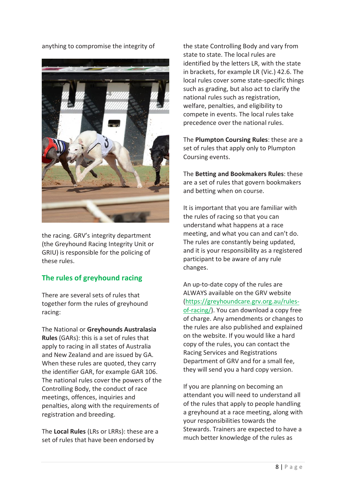anything to compromise the integrity of



the racing. GRV's integrity department (the Greyhound Racing Integrity Unit or GRIU) is responsible for the policing of these rules.

#### **The rules of greyhound racing**

There are several sets of rules that together form the rules of greyhound racing:

The National or **Greyhounds Australasia Rules** (GARs): this is a set of rules that apply to racing in all states of Australia and New Zealand and are issued by GA. When these rules are quoted, they carry the identifier GAR, for example GAR 106. The national rules cover the powers of the Controlling Body, the conduct of race meetings, offences, inquiries and penalties, along with the requirements of registration and breeding.

The **Local Rules** (LRs or LRRs): these are a set of rules that have been endorsed by

the state Controlling Body and vary from state to state. The local rules are identified by the letters LR, with the state in brackets, for example LR (Vic.) 42.6. The local rules cover some state-specific things such as grading, but also act to clarify the national rules such as registration, welfare, penalties, and eligibility to compete in events. The local rules take precedence over the national rules.

The **Plumpton Coursing Rules**: these are a set of rules that apply only to Plumpton Coursing events.

The **Betting and Bookmakers Rules**: these are a set of rules that govern bookmakers and betting when on course.

It is important that you are familiar with the rules of racing so that you can understand what happens at a race meeting, and what you can and can't do. The rules are constantly being updated, and it is your responsibility as a registered participant to be aware of any rule changes.

An up-to-date copy of the rules are ALWAYS available on the GRV website [\(https://greyhoundcare.grv.org.au/rules](https://greyhoundcare.grv.org.au/rules-of-racing/)[of-racing/\)](https://greyhoundcare.grv.org.au/rules-of-racing/). You can download a copy free of charge. Any amendments or changes to the rules are also published and explained on the website. If you would like a hard copy of the rules, you can contact the Racing Services and Registrations Department of GRV and for a small fee, they will send you a hard copy version.

If you are planning on becoming an attendant you will need to understand all of the rules that apply to people handling a greyhound at a race meeting, along with your responsibilities towards the Stewards. Trainers are expected to have a much better knowledge of the rules as